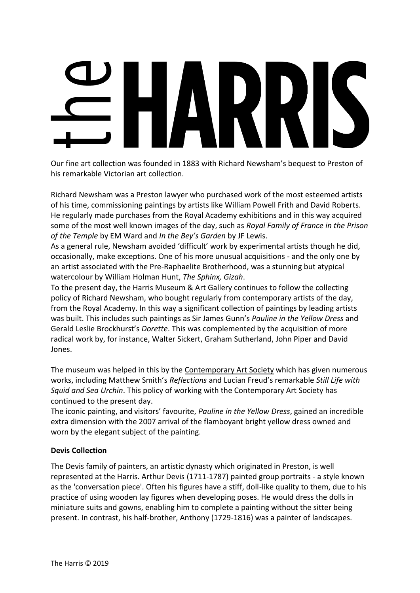Our fine art collection was founded in 1883 with Richard Newsham's bequest to Preston of his remarkable Victorian art collection.

Richard Newsham was a Preston lawyer who purchased work of the most esteemed artists of his time, commissioning paintings by artists like William Powell Frith and David Roberts. He regularly made purchases from the Royal Academy exhibitions and in this way acquired some of the most well known images of the day, such as *Royal Family of France in the Prison of the Temple* by EM Ward and *In the Bey's Garden* by JF Lewis.

As a general rule, Newsham avoided 'difficult' work by experimental artists though he did, occasionally, make exceptions. One of his more unusual acquisitions - and the only one by an artist associated with the Pre-Raphaelite Brotherhood, was a stunning but atypical watercolour by William Holman Hunt, *The Sphinx, Gizah*.

To the present day, the Harris Museum & Art Gallery continues to follow the collecting policy of Richard Newsham, who bought regularly from contemporary artists of the day, from the Royal Academy. In this way a significant collection of paintings by leading artists was built. This includes such paintings as Sir James Gunn's *Pauline in the Yellow Dress* and Gerald Leslie Brockhurst's *Dorette*. This was complemented by the acquisition of more radical work by, for instance, Walter Sickert, Graham Sutherland, John Piper and David Jones.

The museum was helped in this by the [Contemporary](http://www.contemporaryartsociety.org/) Art Society which has given numerous works, including Matthew Smith's *Reflections* and Lucian Freud's remarkable *Still Life with Squid and Sea Urchin*. This policy of working with the Contemporary Art Society has continued to the present day.

The iconic painting, and visitors' favourite, *Pauline in the Yellow Dress*, gained an incredible extra dimension with the 2007 arrival of the flamboyant bright yellow dress owned and worn by the elegant subject of the painting.

# **Devis Collection**

The Devis family of painters, an artistic dynasty which originated in Preston, is well represented at the Harris. Arthur Devis (1711-1787) painted group portraits - a style known as the 'conversation piece'. Often his figures have a stiff, doll-like quality to them, due to his practice of using wooden lay figures when developing poses. He would dress the dolls in miniature suits and gowns, enabling him to complete a painting without the sitter being present. In contrast, his half-brother, Anthony (1729-1816) was a painter of landscapes.